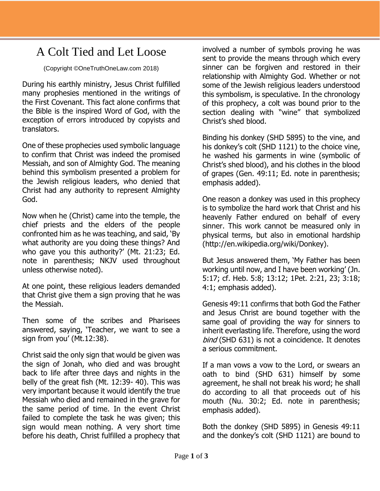## A Colt Tied and Let Loose

(Copyright ©OneTruthOneLaw.com 2018)

During his earthly ministry, Jesus Christ fulfilled many prophesies mentioned in the writings of the First Covenant. This fact alone confirms that the Bible is the inspired Word of God, with the exception of errors introduced by copyists and translators.

One of these prophecies used symbolic language to confirm that Christ was indeed the promised Messiah, and son of Almighty God. The meaning behind this symbolism presented a problem for the Jewish religious leaders, who denied that Christ had any authority to represent Almighty God.

Now when he (Christ) came into the temple, the chief priests and the elders of the people confronted him as he was teaching, and said, 'By what authority are you doing these things? And who gave you this authority?' (Mt. 21:23; Ed. note in parenthesis; NKJV used throughout unless otherwise noted).

At one point, these religious leaders demanded that Christ give them a sign proving that he was the Messiah.

Then some of the scribes and Pharisees answered, saying, 'Teacher, we want to see a sign from you' (Mt.12:38).

Christ said the only sign that would be given was the sign of Jonah, who died and was brought back to life after three days and nights in the belly of the great fish (Mt. 12:39- 40). This was very important because it would identify the true Messiah who died and remained in the grave for the same period of time. In the event Christ failed to complete the task he was given; this sign would mean nothing. A very short time before his death, Christ fulfilled a prophecy that

involved a number of symbols proving he was sent to provide the means through which every sinner can be forgiven and restored in their relationship with Almighty God. Whether or not some of the Jewish religious leaders understood this symbolism, is speculative. In the chronology of this prophecy, a colt was bound prior to the section dealing with "wine" that symbolized Christ's shed blood.

Binding his donkey (SHD 5895) to the vine, and his donkey's colt (SHD 1121) to the choice vine, he washed his garments in wine (symbolic of Christ's shed blood), and his clothes in the blood of grapes (Gen. 49:11; Ed. note in parenthesis; emphasis added).

One reason a donkey was used in this prophecy is to symbolize the hard work that Christ and his heavenly Father endured on behalf of every sinner. This work cannot be measured only in physical terms, but also in emotional hardship (http://en.wikipedia.org/wiki/Donkey).

But Jesus answered them, 'My Father has been working until now, and I have been working' (Jn. 5:17; cf. Heb. 5:8; 13:12; 1Pet. 2:21, 23; 3:18; 4:1; emphasis added).

Genesis 49:11 confirms that both God the Father and Jesus Christ are bound together with the same goal of providing the way for sinners to inherit everlasting life. Therefore, using the word bind (SHD 631) is not a coincidence. It denotes a serious commitment.

If a man vows a vow to the Lord, or swears an oath to bind (SHD 631) himself by some agreement, he shall not break his word; he shall do according to all that proceeds out of his mouth (Nu. 30:2; Ed. note in parenthesis; emphasis added).

Both the donkey (SHD 5895) in Genesis 49:11 and the donkey's colt (SHD 1121) are bound to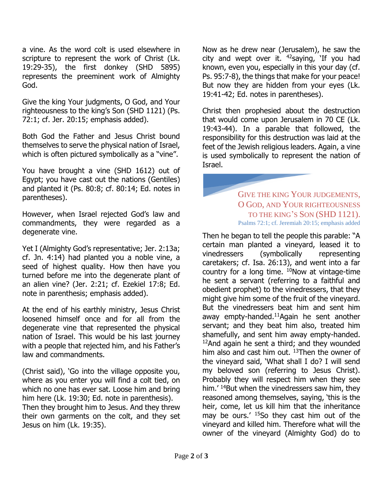a vine. As the word colt is used elsewhere in scripture to represent the work of Christ (Lk. 19:29-35), the first donkey (SHD 5895) represents the preeminent work of Almighty God.

Give the king Your judgments, O God, and Your righteousness to the king's Son (SHD 1121) (Ps. 72:1; cf. Jer. 20:15; emphasis added).

Both God the Father and Jesus Christ bound themselves to serve the physical nation of Israel, which is often pictured symbolically as a "vine".

You have brought a vine (SHD 1612) out of Egypt; you have cast out the nations (Gentiles) and planted it (Ps. 80:8; cf. 80:14; Ed. notes in parentheses).

However, when Israel rejected God's law and commandments, they were regarded as a degenerate vine.

Yet I (Almighty God's representative; Jer. 2:13a; cf. Jn. 4:14) had planted you a noble vine, a seed of highest quality. How then have you turned before me into the degenerate plant of an alien vine? (Jer. 2:21; cf. Ezekiel 17:8; Ed. note in parenthesis; emphasis added).

At the end of his earthly ministry, Jesus Christ loosened himself once and for all from the degenerate vine that represented the physical nation of Israel. This would be his last journey with a people that rejected him, and his Father's law and commandments.

(Christ said), 'Go into the village opposite you, where as you enter you will find a colt tied, on which no one has ever sat. Loose him and bring him here (Lk. 19:30; Ed. note in parenthesis). Then they brought him to Jesus. And they threw their own garments on the colt, and they set Jesus on him (Lk. 19:35).

Now as he drew near (Jerusalem), he saw the city and wept over it.  $42$ saying, 'If you had known, even you, especially in this your day (cf. Ps. 95:7-8), the things that make for your peace! But now they are hidden from your eyes (Lk. 19:41-42; Ed. notes in parentheses).

Christ then prophesied about the destruction that would come upon Jerusalem in 70 CE (Lk. 19:43-44). In a parable that followed, the responsibility for this destruction was laid at the feet of the Jewish religious leaders. Again, a vine is used symbolically to represent the nation of Israel.

## GIVE THE KING YOUR JUDGEMENTS, O GOD, AND YOUR RIGHTEOUSNESS TO THE KING'S SON (SHD 1121). Psalms 72:1; cf. Jeremiah 20:15; emphasis added

Then he began to tell the people this parable: "A certain man planted a vineyard, leased it to vinedressers (symbolically representing caretakers; cf. Isa. 26:13), and went into a far country for a long time.  $^{10}$ Now at vintage-time he sent a servant (referring to a faithful and obedient prophet) to the vinedressers, that they might give him some of the fruit of the vineyard. But the vinedressers beat him and sent him away empty-handed. $11$ Again he sent another servant; and they beat him also, treated him shamefully, and sent him away empty-handed.  $12$ And again he sent a third; and they wounded him also and cast him out.  $13$ Then the owner of the vineyard said, 'What shall I do? I will send my beloved son (referring to Jesus Christ). Probably they will respect him when they see him.<sup>' 14</sup>But when the vinedressers saw him, they reasoned among themselves, saying, 'this is the heir, come, let us kill him that the inheritance may be ours.' <sup>15</sup>So they cast him out of the vineyard and killed him. Therefore what will the owner of the vineyard (Almighty God) do to